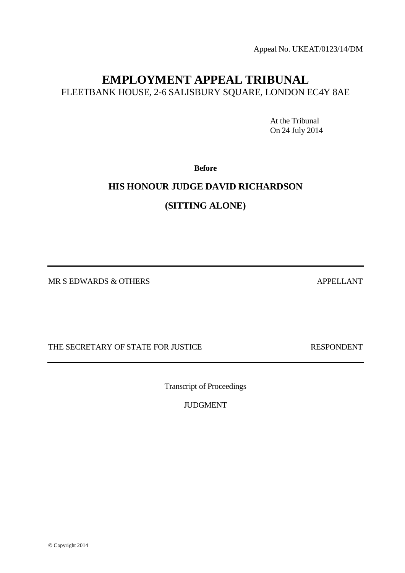Appeal No. UKEAT/0123/14/DM

# **EMPLOYMENT APPEAL TRIBUNAL** FLEETBANK HOUSE, 2-6 SALISBURY SQUARE, LONDON EC4Y 8AE

At the Tribunal On 24 July 2014

**Before**

## **HIS HONOUR JUDGE DAVID RICHARDSON**

**(SITTING ALONE)** 

MR S EDWARDS & OTHERS APPELLANT

THE SECRETARY OF STATE FOR JUSTICE THE SECRETARY OF STATE FOR JUSTICE

Transcript of Proceedings

JUDGMENT

© Copyright 2014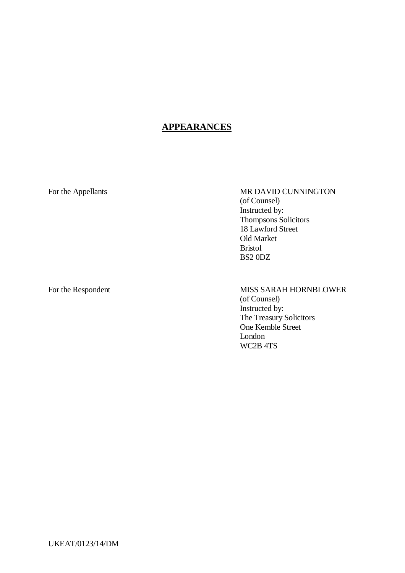## **APPEARANCES**

For the Appellants MR DAVID CUNNINGTON (of Counsel) Instructed by: Thompsons Solicitors 18 Lawford Street Old Market Bristol BS2 0DZ

## For the Respondent MISS SARAH HORNBLOWER (of Counsel)

Instructed by: The Treasury Solicitors One Kemble Street London WC2B 4TS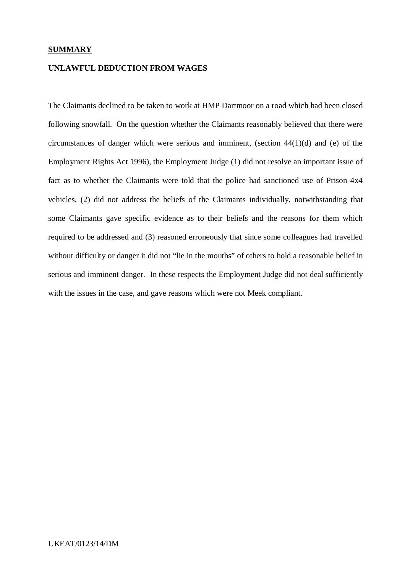## **SUMMARY**

## **UNLAWFUL DEDUCTION FROM WAGES**

The Claimants declined to be taken to work at HMP Dartmoor on a road which had been closed following snowfall. On the question whether the Claimants reasonably believed that there were circumstances of danger which were serious and imminent, (section 44(1)(d) and (e) of the Employment Rights Act 1996), the Employment Judge (1) did not resolve an important issue of fact as to whether the Claimants were told that the police had sanctioned use of Prison 4x4 vehicles, (2) did not address the beliefs of the Claimants individually, notwithstanding that some Claimants gave specific evidence as to their beliefs and the reasons for them which required to be addressed and (3) reasoned erroneously that since some colleagues had travelled without difficulty or danger it did not "lie in the mouths" of others to hold a reasonable belief in serious and imminent danger. In these respects the Employment Judge did not deal sufficiently with the issues in the case, and gave reasons which were not Meek compliant.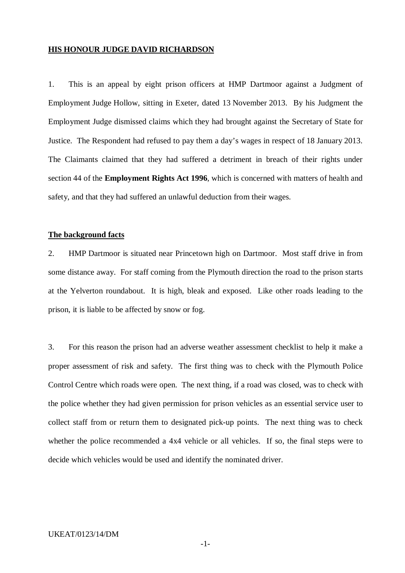## **HIS HONOUR JUDGE DAVID RICHARDSON**

1. This is an appeal by eight prison officers at HMP Dartmoor against a Judgment of Employment Judge Hollow, sitting in Exeter, dated 13 November 2013. By his Judgment the Employment Judge dismissed claims which they had brought against the Secretary of State for Justice. The Respondent had refused to pay them a day's wages in respect of 18 January 2013. The Claimants claimed that they had suffered a detriment in breach of their rights under section 44 of the **Employment Rights Act 1996**, which is concerned with matters of health and safety, and that they had suffered an unlawful deduction from their wages.

## **The background facts**

2. HMP Dartmoor is situated near Princetown high on Dartmoor. Most staff drive in from some distance away. For staff coming from the Plymouth direction the road to the prison starts at the Yelverton roundabout. It is high, bleak and exposed. Like other roads leading to the prison, it is liable to be affected by snow or fog.

3. For this reason the prison had an adverse weather assessment checklist to help it make a proper assessment of risk and safety. The first thing was to check with the Plymouth Police Control Centre which roads were open. The next thing, if a road was closed, was to check with the police whether they had given permission for prison vehicles as an essential service user to collect staff from or return them to designated pick-up points. The next thing was to check whether the police recommended a 4x4 vehicle or all vehicles. If so, the final steps were to decide which vehicles would be used and identify the nominated driver.

#### UKEAT/0123/14/DM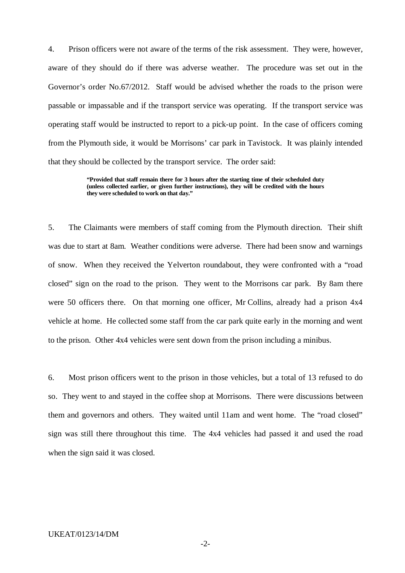4. Prison officers were not aware of the terms of the risk assessment. They were, however, aware of they should do if there was adverse weather. The procedure was set out in the Governor's order No.67/2012. Staff would be advised whether the roads to the prison were passable or impassable and if the transport service was operating. If the transport service was operating staff would be instructed to report to a pick-up point. In the case of officers coming from the Plymouth side, it would be Morrisons' car park in Tavistock. It was plainly intended that they should be collected by the transport service. The order said:

> **"Provided that staff remain there for 3 hours after the starting time of their scheduled duty (unless collected earlier, or given further instructions), they will be credited with the hours they were scheduled to work on that day."**

5. The Claimants were members of staff coming from the Plymouth direction. Their shift was due to start at 8am. Weather conditions were adverse. There had been snow and warnings of snow. When they received the Yelverton roundabout, they were confronted with a "road closed" sign on the road to the prison. They went to the Morrisons car park. By 8am there were 50 officers there. On that morning one officer, Mr Collins, already had a prison 4x4 vehicle at home. He collected some staff from the car park quite early in the morning and went to the prison. Other 4x4 vehicles were sent down from the prison including a minibus.

6. Most prison officers went to the prison in those vehicles, but a total of 13 refused to do so. They went to and stayed in the coffee shop at Morrisons. There were discussions between them and governors and others. They waited until 11am and went home. The "road closed" sign was still there throughout this time. The 4x4 vehicles had passed it and used the road when the sign said it was closed.

#### UKEAT/0123/14/DM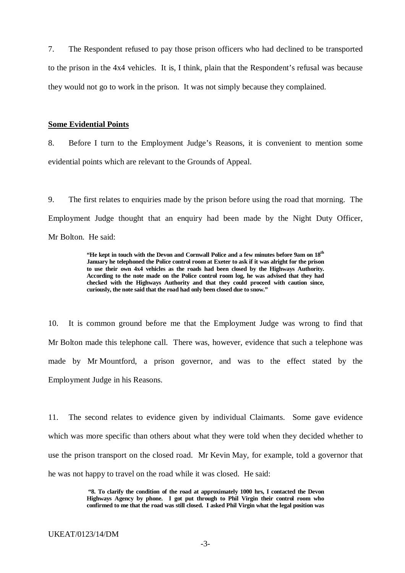7. The Respondent refused to pay those prison officers who had declined to be transported to the prison in the 4x4 vehicles. It is, I think, plain that the Respondent's refusal was because they would not go to work in the prison. It was not simply because they complained.

### **Some Evidential Points**

8. Before I turn to the Employment Judge's Reasons, it is convenient to mention some evidential points which are relevant to the Grounds of Appeal.

9. The first relates to enquiries made by the prison before using the road that morning. The Employment Judge thought that an enquiry had been made by the Night Duty Officer, Mr Bolton. He said:

> **"He kept in touch with the Devon and Cornwall Police and a few minutes before 9am on 18th January he telephoned the Police control room at Exeter to ask if it was alright for the prison to use their own 4x4 vehicles as the roads had been closed by the Highways Authority. According to the note made on the Police control room log, he was advised that they had checked with the Highways Authority and that they could proceed with caution since, curiously, the note said that the road had only been closed due to snow."**

10. It is common ground before me that the Employment Judge was wrong to find that Mr Bolton made this telephone call. There was, however, evidence that such a telephone was made by Mr Mountford, a prison governor, and was to the effect stated by the Employment Judge in his Reasons.

11. The second relates to evidence given by individual Claimants. Some gave evidence which was more specific than others about what they were told when they decided whether to use the prison transport on the closed road. Mr Kevin May, for example, told a governor that he was not happy to travel on the road while it was closed. He said:

> **"8. To clarify the condition of the road at approximately 1000 hrs, I contacted the Devon Highways Agency by phone. I got put through to Phil Virgin their control room who confirmed to me that the road was still closed. I asked Phil Virgin what the legal position was**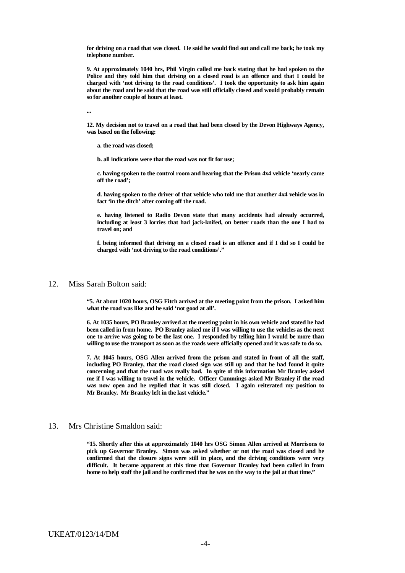**for driving on a road that was closed. He said he would find out and call me back; he took my telephone number.**

**9. At approximately 1040 hrs, Phil Virgin called me back stating that he had spoken to the Police and they told him that driving on a closed road is an offence and that I could be charged with 'not driving to the road conditions'. I took the opportunity to ask him again about the road and he said that the road was still officially closed and would probably remain so for another couple of hours at least.**

**...**

**12. My decision not to travel on a road that had been closed by the Devon Highways Agency, was based on the following:**

**a. the road was closed;**

**b. all indications were that the road was not fit for use;**

**c. having spoken to the control room and hearing that the Prison 4x4 vehicle 'nearly came off the road';**

**d. having spoken to the driver of that vehicle who told me that another 4x4 vehicle was in fact 'in the ditch' after coming off the road.**

**e. having listened to Radio Devon state that many accidents had already occurred, including at least 3 lorries that had jack-knifed, on better roads than the one I had to travel on; and**

**f. being informed that driving on a closed road is an offence and if I did so I could be charged with 'not driving to the road conditions'."**

#### 12. Miss Sarah Bolton said:

**"5. At about 1020 hours, OSG Fitch arrived at the meeting point from the prison. I asked him what the road was like and he said 'not good at all'.**

**6. At 1035 hours, PO Branley arrived at the meeting point in his own vehicle and stated he had been called in from home. PO Branley asked me if I was willing to use the vehicles as the next one to arrive was going to be the last one. I responded by telling him I would be more than willing to use the transport as soon as the roads were officially opened and it was safe to do so.**

**7. At 1045 hours, OSG Allen arrived from the prison and stated in front of all the staff, including PO Branley, that the road closed sign was still up and that he had found it quite concerning and that the road was really bad. In spite of this information Mr Branley asked me if I was willing to travel in the vehicle. Officer Cummings asked Mr Branley if the road was now open and he replied that it was still closed. I again reiterated my position to Mr Branley. Mr Branley left in the last vehicle."**

#### 13. Mrs Christine Smaldon said:

**"15. Shortly after this at approximately 1040 hrs OSG Simon Allen arrived at Morrisons to pick up Governor Branley. Simon was asked whether or not the road was closed and he confirmed that the closure signs were still in place, and the driving conditions were very difficult. It became apparent at this time that Governor Branley had been called in from home to help staff the jail and he confirmed that he was on the way to the jail at that time."**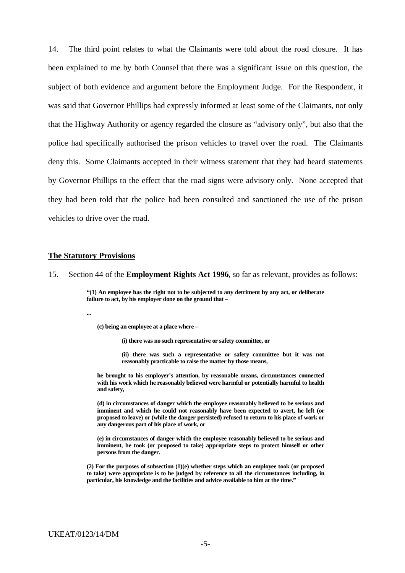14. The third point relates to what the Claimants were told about the road closure. It has been explained to me by both Counsel that there was a significant issue on this question, the subject of both evidence and argument before the Employment Judge. For the Respondent, it was said that Governor Phillips had expressly informed at least some of the Claimants, not only that the Highway Authority or agency regarded the closure as "advisory only", but also that the police had specifically authorised the prison vehicles to travel over the road. The Claimants deny this. Some Claimants accepted in their witness statement that they had heard statements by Governor Phillips to the effect that the road signs were advisory only. None accepted that they had been told that the police had been consulted and sanctioned the use of the prison vehicles to drive over the road.

### **The Statutory Provisions**

15. Section 44 of the **Employment Rights Act 1996**, so far as relevant, provides as follows:

**"(1) An employee has the right not to be subjected to any detriment by any act, or deliberate failure to act, by his employer done on the ground that –**

**...**

**(c) being an employee at a place where –**

**(i) there was no such representative or safety committee, or**

**(ii) there was such a representative or safety committee but it was not reasonably practicable to raise the matter by those means,**

**he brought to his employer's attention, by reasonable means, circumstances connected with his work which he reasonably believed were harmful or potentially harmful to health and safety,**

**(d) in circumstances of danger which the employee reasonably believed to be serious and imminent and which he could not reasonably have been expected to avert, he left (or proposed to leave) or (while the danger persisted) refused to return to his place of work or any dangerous part of his place of work, or** 

**(e) in circumstances of danger which the employee reasonably believed to be serious and imminent, he took (or proposed to take) appropriate steps to protect himself or other persons from the danger.**

**(2) For the purposes of subsection (1)(e) whether steps which an employee took (or proposed to take) were appropriate is to be judged by reference to all the circumstances including, in particular, his knowledge and the facilities and advice available to him at the time."**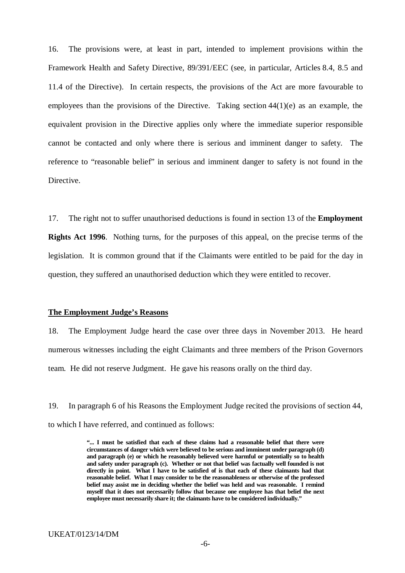16. The provisions were, at least in part, intended to implement provisions within the Framework Health and Safety Directive, 89/391/EEC (see, in particular, Articles 8.4, 8.5 and 11.4 of the Directive). In certain respects, the provisions of the Act are more favourable to employees than the provisions of the Directive. Taking section 44(1)(e) as an example, the equivalent provision in the Directive applies only where the immediate superior responsible cannot be contacted and only where there is serious and imminent danger to safety. The reference to "reasonable belief" in serious and imminent danger to safety is not found in the Directive.

17. The right not to suffer unauthorised deductions is found in section 13 of the **Employment Rights Act 1996**. Nothing turns, for the purposes of this appeal, on the precise terms of the legislation. It is common ground that if the Claimants were entitled to be paid for the day in question, they suffered an unauthorised deduction which they were entitled to recover.

## **The Employment Judge's Reasons**

18. The Employment Judge heard the case over three days in November 2013. He heard numerous witnesses including the eight Claimants and three members of the Prison Governors team. He did not reserve Judgment. He gave his reasons orally on the third day.

19. In paragraph 6 of his Reasons the Employment Judge recited the provisions of section 44, to which I have referred, and continued as follows:

> **"... I must be satisfied that each of these claims had a reasonable belief that there were circumstances of danger which were believed to be serious and imminent under paragraph (d) and paragraph (e) or which he reasonably believed were harmful or potentially so to health and safety under paragraph (c). Whether or not that belief was factually well founded is not directly in point. What I have to be satisfied of is that each of these claimants had that reasonable belief. What I may consider to be the reasonableness or otherwise of the professed belief may assist me in deciding whether the belief was held and was reasonable. I remind myself that it does not necessarily follow that because one employee has that belief the next employee must necessarily share it; the claimants have to be considered individually."**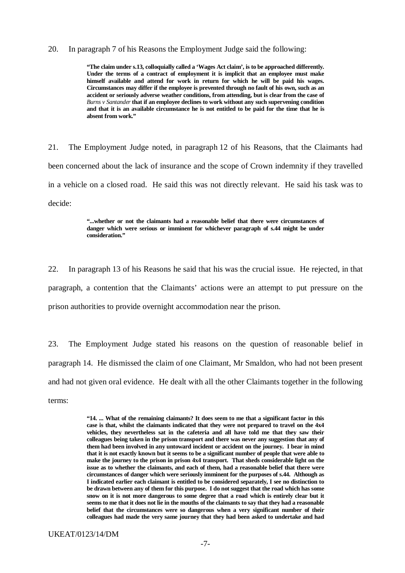#### 20. In paragraph 7 of his Reasons the Employment Judge said the following:

**"The claim under s.13, colloquially called a 'Wages Act claim', is to be approached differently. Under the terms of a contract of employment it is implicit that an employee must make himself available and attend for work in return for which he will be paid his wages. Circumstances may differ if the employee is prevented through no fault of his own, such as an accident or seriously adverse weather conditions, from attending, but is clear from the case of**  *Burns v Santander* **that if an employee declines to work without any such supervening condition and that it is an available circumstance he is not entitled to be paid for the time that he is absent from work."**

21. The Employment Judge noted, in paragraph 12 of his Reasons, that the Claimants had been concerned about the lack of insurance and the scope of Crown indemnity if they travelled in a vehicle on a closed road. He said this was not directly relevant. He said his task was to decide:

> **"...whether or not the claimants had a reasonable belief that there were circumstances of danger which were serious or imminent for whichever paragraph of s.44 might be under consideration."**

22. In paragraph 13 of his Reasons he said that his was the crucial issue. He rejected, in that paragraph, a contention that the Claimants' actions were an attempt to put pressure on the prison authorities to provide overnight accommodation near the prison.

23. The Employment Judge stated his reasons on the question of reasonable belief in paragraph 14. He dismissed the claim of one Claimant, Mr Smaldon, who had not been present and had not given oral evidence. He dealt with all the other Claimants together in the following terms:

> **"14. ... What of the remaining claimants? It does seem to me that a significant factor in this case is that, whilst the claimants indicated that they were not prepared to travel on the 4x4 vehicles, they nevertheless sat in the cafeteria and all have told me that they saw their colleagues being taken in the prison transport and there was never any suggestion that any of them had been involved in any untoward incident or accident on the journey. I bear in mind that it is not exactly known but it seems to be a significant number of people that were able to make the journey to the prison in prison 4x4 transport. That sheds considerable light on the issue as to whether the claimants, and each of them, had a reasonable belief that there were circumstances of danger which were seriously imminent for the purposes of s.44. Although as I indicated earlier each claimant is entitled to be considered separately, I see no distinction to be drawn between any of them for this purpose. I do not suggest that the road which has some snow on it is not more dangerous to some degree that a road which is entirely clear but it seems to me that it does not lie in the mouths of the claimants to say that they had a reasonable belief that the circumstances were so dangerous when a very significant number of their colleagues had made the very same journey that they had been asked to undertake and had**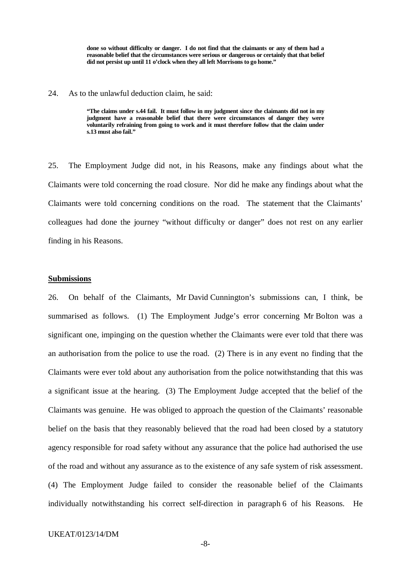**done so without difficulty or danger. I do not find that the claimants or any of them had a reasonable belief that the circumstances were serious or dangerous or certainly that that belief did not persist up until 11 o'clock when they all left Morrisons to go home."**

#### 24. As to the unlawful deduction claim, he said:

**"The claims under s.44 fail. It must follow in my judgment since the claimants did not in my judgment have a reasonable belief that there were circumstances of danger they were voluntarily refraining from going to work and it must therefore follow that the claim under s.13 must also fail."**

25. The Employment Judge did not, in his Reasons, make any findings about what the Claimants were told concerning the road closure. Nor did he make any findings about what the Claimants were told concerning conditions on the road. The statement that the Claimants' colleagues had done the journey "without difficulty or danger" does not rest on any earlier finding in his Reasons.

### **Submissions**

26. On behalf of the Claimants, Mr David Cunnington's submissions can, I think, be summarised as follows. (1) The Employment Judge's error concerning Mr Bolton was a significant one, impinging on the question whether the Claimants were ever told that there was an authorisation from the police to use the road. (2) There is in any event no finding that the Claimants were ever told about any authorisation from the police notwithstanding that this was a significant issue at the hearing. (3) The Employment Judge accepted that the belief of the Claimants was genuine. He was obliged to approach the question of the Claimants' reasonable belief on the basis that they reasonably believed that the road had been closed by a statutory agency responsible for road safety without any assurance that the police had authorised the use of the road and without any assurance as to the existence of any safe system of risk assessment. (4) The Employment Judge failed to consider the reasonable belief of the Claimants individually notwithstanding his correct self-direction in paragraph 6 of his Reasons. He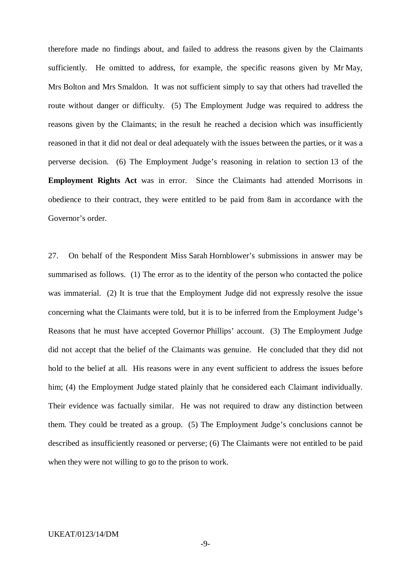therefore made no findings about, and failed to address the reasons given by the Claimants sufficiently. He omitted to address, for example, the specific reasons given by Mr May, Mrs Bolton and Mrs Smaldon. It was not sufficient simply to say that others had travelled the route without danger or difficulty. (5) The Employment Judge was required to address the reasons given by the Claimants; in the result he reached a decision which was insufficiently reasoned in that it did not deal or deal adequately with the issues between the parties, or it was a perverse decision. (6) The Employment Judge's reasoning in relation to section 13 of the **Employment Rights Act** was in error. Since the Claimants had attended Morrisons in obedience to their contract, they were entitled to be paid from 8am in accordance with the Governor's order.

27. On behalf of the Respondent Miss Sarah Hornblower's submissions in answer may be summarised as follows. (1) The error as to the identity of the person who contacted the police was immaterial. (2) It is true that the Employment Judge did not expressly resolve the issue concerning what the Claimants were told, but it is to be inferred from the Employment Judge's Reasons that he must have accepted Governor Phillips' account. (3) The Employment Judge did not accept that the belief of the Claimants was genuine. He concluded that they did not hold to the belief at all. His reasons were in any event sufficient to address the issues before him; (4) the Employment Judge stated plainly that he considered each Claimant individually. Their evidence was factually similar. He was not required to draw any distinction between them. They could be treated as a group. (5) The Employment Judge's conclusions cannot be described as insufficiently reasoned or perverse; (6) The Claimants were not entitled to be paid when they were not willing to go to the prison to work.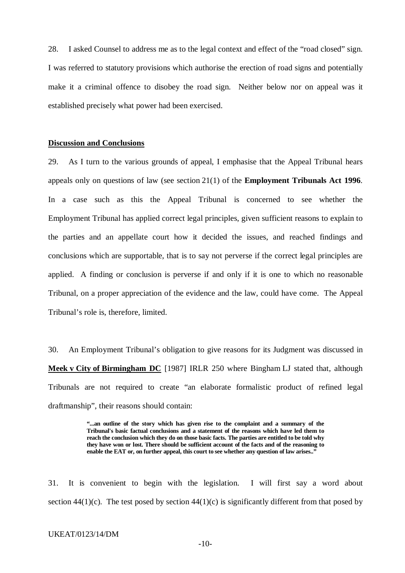28. I asked Counsel to address me as to the legal context and effect of the "road closed" sign. I was referred to statutory provisions which authorise the erection of road signs and potentially make it a criminal offence to disobey the road sign. Neither below nor on appeal was it established precisely what power had been exercised.

#### **Discussion and Conclusions**

29. As I turn to the various grounds of appeal, I emphasise that the Appeal Tribunal hears appeals only on questions of law (see section 21(1) of the **Employment Tribunals Act 1996**. In a case such as this the Appeal Tribunal is concerned to see whether the Employment Tribunal has applied correct legal principles, given sufficient reasons to explain to the parties and an appellate court how it decided the issues, and reached findings and conclusions which are supportable, that is to say not perverse if the correct legal principles are applied. A finding or conclusion is perverse if and only if it is one to which no reasonable Tribunal, on a proper appreciation of the evidence and the law, could have come. The Appeal Tribunal's role is, therefore, limited.

30. An Employment Tribunal's obligation to give reasons for its Judgment was discussed in **Meek v City of Birmingham DC** [1987] IRLR 250 where Bingham LJ stated that, although Tribunals are not required to create "an elaborate formalistic product of refined legal draftmanship", their reasons should contain:

> **"...an outline of the story which has given rise to the complaint and a summary of the Tribunal's basic factual conclusions and a statement of the reasons which have led them to reach the conclusion which they do on those basic facts. The parties are entitled to be told why they have won or lost. There should be sufficient account of the facts and of the reasoning to**  enable the EAT or, on further appeal, this court to see whether any question of law arises.<sup>"</sup>

31. It is convenient to begin with the legislation. I will first say a word about section  $44(1)(c)$ . The test posed by section  $44(1)(c)$  is significantly different from that posed by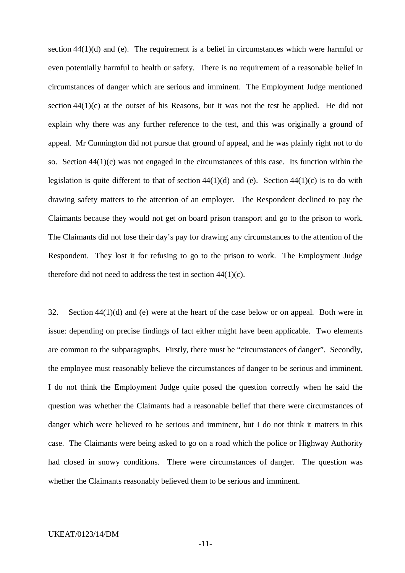section  $44(1)(d)$  and (e). The requirement is a belief in circumstances which were harmful or even potentially harmful to health or safety. There is no requirement of a reasonable belief in circumstances of danger which are serious and imminent. The Employment Judge mentioned section 44(1)(c) at the outset of his Reasons, but it was not the test he applied. He did not explain why there was any further reference to the test, and this was originally a ground of appeal. Mr Cunnington did not pursue that ground of appeal, and he was plainly right not to do so. Section 44(1)(c) was not engaged in the circumstances of this case. Its function within the legislation is quite different to that of section  $44(1)(d)$  and (e). Section  $44(1)(c)$  is to do with drawing safety matters to the attention of an employer. The Respondent declined to pay the Claimants because they would not get on board prison transport and go to the prison to work. The Claimants did not lose their day's pay for drawing any circumstances to the attention of the Respondent. They lost it for refusing to go to the prison to work. The Employment Judge therefore did not need to address the test in section 44(1)(c).

32. Section 44(1)(d) and (e) were at the heart of the case below or on appeal. Both were in issue: depending on precise findings of fact either might have been applicable. Two elements are common to the subparagraphs. Firstly, there must be "circumstances of danger". Secondly, the employee must reasonably believe the circumstances of danger to be serious and imminent. I do not think the Employment Judge quite posed the question correctly when he said the question was whether the Claimants had a reasonable belief that there were circumstances of danger which were believed to be serious and imminent, but I do not think it matters in this case. The Claimants were being asked to go on a road which the police or Highway Authority had closed in snowy conditions. There were circumstances of danger. The question was whether the Claimants reasonably believed them to be serious and imminent.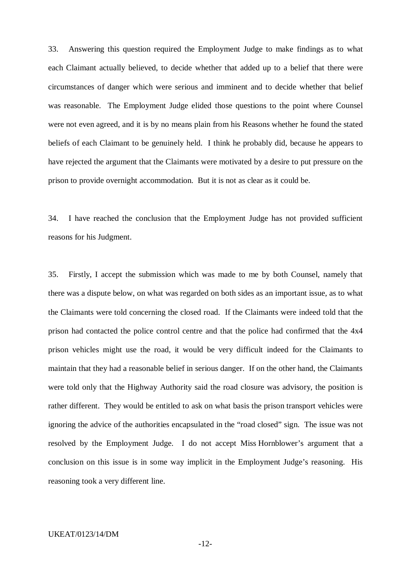33. Answering this question required the Employment Judge to make findings as to what each Claimant actually believed, to decide whether that added up to a belief that there were circumstances of danger which were serious and imminent and to decide whether that belief was reasonable. The Employment Judge elided those questions to the point where Counsel were not even agreed, and it is by no means plain from his Reasons whether he found the stated beliefs of each Claimant to be genuinely held. I think he probably did, because he appears to have rejected the argument that the Claimants were motivated by a desire to put pressure on the prison to provide overnight accommodation. But it is not as clear as it could be.

34. I have reached the conclusion that the Employment Judge has not provided sufficient reasons for his Judgment.

35. Firstly, I accept the submission which was made to me by both Counsel, namely that there was a dispute below, on what was regarded on both sides as an important issue, as to what the Claimants were told concerning the closed road. If the Claimants were indeed told that the prison had contacted the police control centre and that the police had confirmed that the 4x4 prison vehicles might use the road, it would be very difficult indeed for the Claimants to maintain that they had a reasonable belief in serious danger. If on the other hand, the Claimants were told only that the Highway Authority said the road closure was advisory, the position is rather different. They would be entitled to ask on what basis the prison transport vehicles were ignoring the advice of the authorities encapsulated in the "road closed" sign. The issue was not resolved by the Employment Judge. I do not accept Miss Hornblower's argument that a conclusion on this issue is in some way implicit in the Employment Judge's reasoning. His reasoning took a very different line.

-12-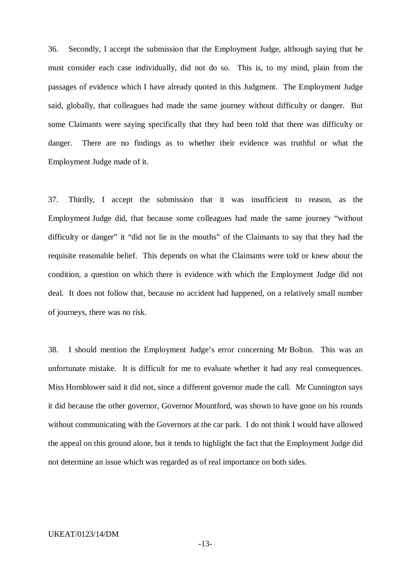36. Secondly, I accept the submission that the Employment Judge, although saying that he must consider each case individually, did not do so. This is, to my mind, plain from the passages of evidence which I have already quoted in this Judgment. The Employment Judge said, globally, that colleagues had made the same journey without difficulty or danger. But some Claimants were saying specifically that they had been told that there was difficulty or danger. There are no findings as to whether their evidence was truthful or what the Employment Judge made of it.

37. Thirdly, I accept the submission that it was insufficient to reason, as the Employment Judge did, that because some colleagues had made the same journey "without difficulty or danger" it "did not lie in the mouths" of the Claimants to say that they had the requisite reasonable belief. This depends on what the Claimants were told or knew about the condition, a question on which there is evidence with which the Employment Judge did not deal. It does not follow that, because no accident had happened, on a relatively small number of journeys, there was no risk.

38. I should mention the Employment Judge's error concerning Mr Bolton. This was an unfortunate mistake. It is difficult for me to evaluate whether it had any real consequences. Miss Hornblower said it did not, since a different governor made the call. Mr Cunnington says it did because the other governor, Governor Mountford, was shown to have gone on his rounds without communicating with the Governors at the car park. I do not think I would have allowed the appeal on this ground alone, but it tends to highlight the fact that the Employment Judge did not determine an issue which was regarded as of real importance on both sides.

#### UKEAT/0123/14/DM